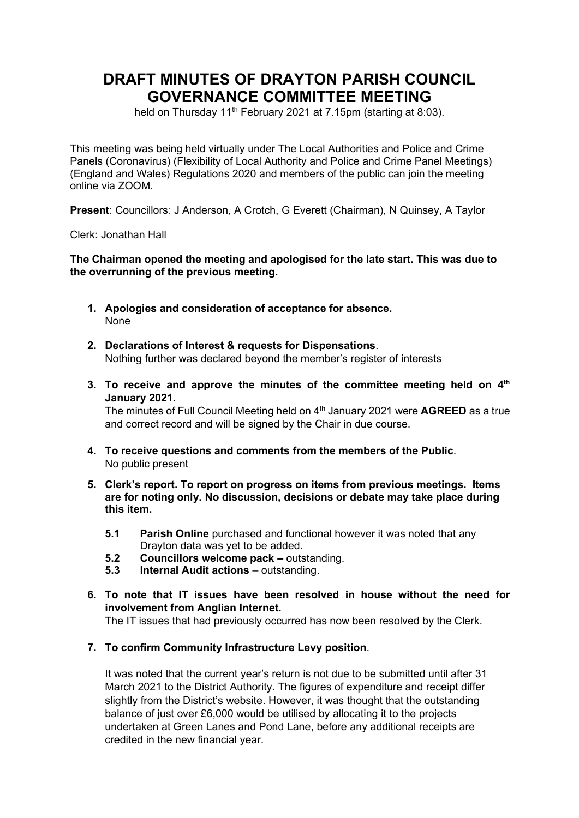# **DRAFT MINUTES OF DRAYTON PARISH COUNCIL GOVERNANCE COMMITTEE MEETING**

held on Thursday  $11<sup>th</sup>$  February 2021 at 7.15pm (starting at 8:03).

This meeting was being held virtually under The Local Authorities and Police and Crime Panels (Coronavirus) (Flexibility of Local Authority and Police and Crime Panel Meetings) (England and Wales) Regulations 2020 and members of the public can join the meeting online via ZOOM.

**Present**: Councillors: J Anderson, A Crotch, G Everett (Chairman), N Quinsey, A Taylor

Clerk: Jonathan Hall

#### **The Chairman opened the meeting and apologised for the late start. This was due to the overrunning of the previous meeting.**

- **1. Apologies and consideration of acceptance for absence.** None
- **2. Declarations of Interest & requests for Dispensations**. Nothing further was declared beyond the member's register of interests
- 3. To receive and approve the minutes of the committee meeting held on 4<sup>th</sup> **January 2021.**

The minutes of Full Council Meeting held on 4<sup>th</sup> January 2021 were **AGREED** as a true and correct record and will be signed by the Chair in due course.

- **4. To receive questions and comments from the members of the Public**. No public present
- **5. Clerk's report. To report on progress on items from previous meetings. Items are for noting only. No discussion, decisions or debate may take place during this item.**
	- **5.1 Parish Online** purchased and functional however it was noted that any Drayton data was yet to be added.
	- **5.2 Councillors welcome pack –** outstanding.
	- **5.3 Internal Audit actions** outstanding.
- **6. To note that IT issues have been resolved in house without the need for involvement from Anglian Internet.**

The IT issues that had previously occurred has now been resolved by the Clerk.

**7. To confirm Community Infrastructure Levy position**.

It was noted that the current year's return is not due to be submitted until after 31 March 2021 to the District Authority. The figures of expenditure and receipt differ slightly from the District's website. However, it was thought that the outstanding balance of just over £6,000 would be utilised by allocating it to the projects undertaken at Green Lanes and Pond Lane, before any additional receipts are credited in the new financial year.